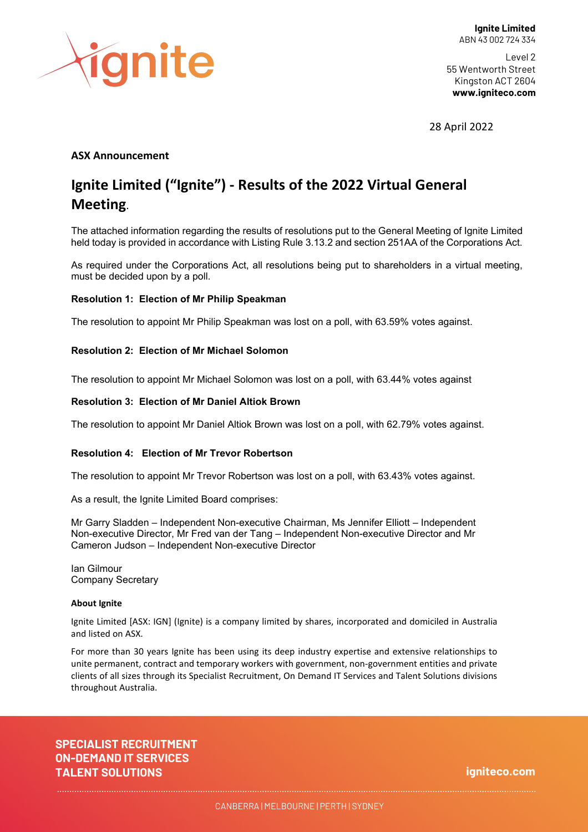

Level 2 55 Wentworth Street Kingston ACT 2604 **www.igniteco.com**

28 April 2022

### **ASX Announcement**

# **Ignite Limited ("Ignite") - Results of the 2022 Virtual General Meeting**.

The attached information regarding the results of resolutions put to the General Meeting of Ignite Limited held today is provided in accordance with Listing Rule 3.13.2 and section 251AA of the Corporations Act.

As required under the Corporations Act, all resolutions being put to shareholders in a virtual meeting, must be decided upon by a poll.

#### **Resolution 1: Election of Mr Philip Speakman**

The resolution to appoint Mr Philip Speakman was lost on a poll, with 63.59% votes against.

#### **Resolution 2: Election of Mr Michael Solomon**

The resolution to appoint Mr Michael Solomon was lost on a poll, with 63.44% votes against

#### **Resolution 3: Election of Mr Daniel Altiok Brown**

The resolution to appoint Mr Daniel Altiok Brown was lost on a poll, with 62.79% votes against.

#### **Resolution 4: Election of Mr Trevor Robertson**

The resolution to appoint Mr Trevor Robertson was lost on a poll, with 63.43% votes against.

As a result, the Ignite Limited Board comprises:

Mr Garry Sladden – Independent Non-executive Chairman, Ms Jennifer Elliott – Independent Non-executive Director, Mr Fred van der Tang – Independent Non-executive Director and Mr Cameron Judson – Independent Non-executive Director

Ian Gilmour Company Secretary

#### **About Ignite**

Ignite Limited [ASX: IGN] (Ignite) is a company limited by shares, incorporated and domiciled in Australia and listed on ASX.

For more than 30 years Ignite has been using its deep industry expertise and extensive relationships to unite permanent, contract and temporary workers with government, non-government entities and private clients of all sizes through its Specialist Recruitment, On Demand IT Services and Talent Solutions divisions throughout Australia.

**SPECIALIST RECRUITMENT ON-DEMAND IT SERVICES TALENT SOLUTIONS**

**igniteco.com**